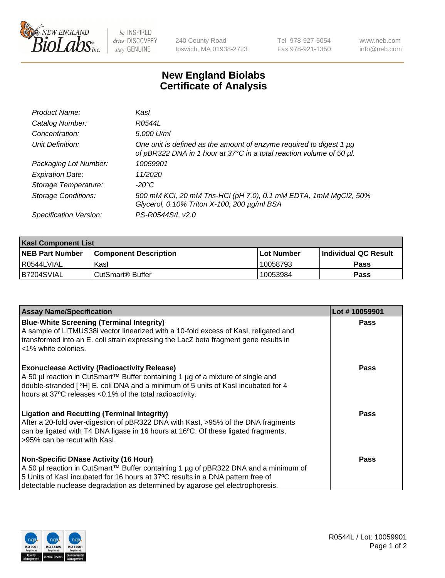

be INSPIRED drive DISCOVERY stay GENUINE

240 County Road Ipswich, MA 01938-2723 Tel 978-927-5054 Fax 978-921-1350

www.neb.com info@neb.com

## **New England Biolabs Certificate of Analysis**

| Product Name:              | Kasl                                                                                                                                        |
|----------------------------|---------------------------------------------------------------------------------------------------------------------------------------------|
| Catalog Number:            | R0544L                                                                                                                                      |
| Concentration:             | 5,000 U/ml                                                                                                                                  |
| Unit Definition:           | One unit is defined as the amount of enzyme required to digest 1 µg<br>of pBR322 DNA in 1 hour at 37°C in a total reaction volume of 50 µl. |
| Packaging Lot Number:      | 10059901                                                                                                                                    |
| <b>Expiration Date:</b>    | 11/2020                                                                                                                                     |
| Storage Temperature:       | -20°C                                                                                                                                       |
| <b>Storage Conditions:</b> | 500 mM KCl, 20 mM Tris-HCl (pH 7.0), 0.1 mM EDTA, 1mM MgCl2, 50%<br>Glycerol, 0.10% Triton X-100, 200 µg/ml BSA                             |
| Specification Version:     | PS-R0544S/L v2.0                                                                                                                            |

| <b>Kasl Component List</b> |                              |                   |                             |  |  |
|----------------------------|------------------------------|-------------------|-----------------------------|--|--|
| <b>NEB Part Number</b>     | <b>Component Description</b> | <b>Lot Number</b> | <b>Individual QC Result</b> |  |  |
| I R0544LVIAL               | Kasl                         | 10058793          | <b>Pass</b>                 |  |  |
| B7204SVIAL                 | l CutSmart® Buffer           | 10053984          | Pass                        |  |  |

| <b>Assay Name/Specification</b>                                                                                                                                                                                                                                                                         | Lot #10059901 |
|---------------------------------------------------------------------------------------------------------------------------------------------------------------------------------------------------------------------------------------------------------------------------------------------------------|---------------|
| <b>Blue-White Screening (Terminal Integrity)</b><br>A sample of LITMUS38i vector linearized with a 10-fold excess of Kasl, religated and<br>transformed into an E. coli strain expressing the LacZ beta fragment gene results in<br><1% white colonies.                                                 | <b>Pass</b>   |
| <b>Exonuclease Activity (Radioactivity Release)</b><br>A 50 µl reaction in CutSmart™ Buffer containing 1 µg of a mixture of single and<br>double-stranded [3H] E. coli DNA and a minimum of 5 units of Kasl incubated for 4<br>hours at 37°C releases <0.1% of the total radioactivity.                 | <b>Pass</b>   |
| <b>Ligation and Recutting (Terminal Integrity)</b><br>After a 20-fold over-digestion of pBR322 DNA with Kasl, >95% of the DNA fragments<br>can be ligated with T4 DNA ligase in 16 hours at 16°C. Of these ligated fragments,<br>>95% can be recut with Kasl.                                           | <b>Pass</b>   |
| <b>Non-Specific DNase Activity (16 Hour)</b><br>A 50 µl reaction in CutSmart™ Buffer containing 1 µg of pBR322 DNA and a minimum of<br>5 Units of Kasl incubated for 16 hours at 37°C results in a DNA pattern free of<br>detectable nuclease degradation as determined by agarose gel electrophoresis. | Pass          |